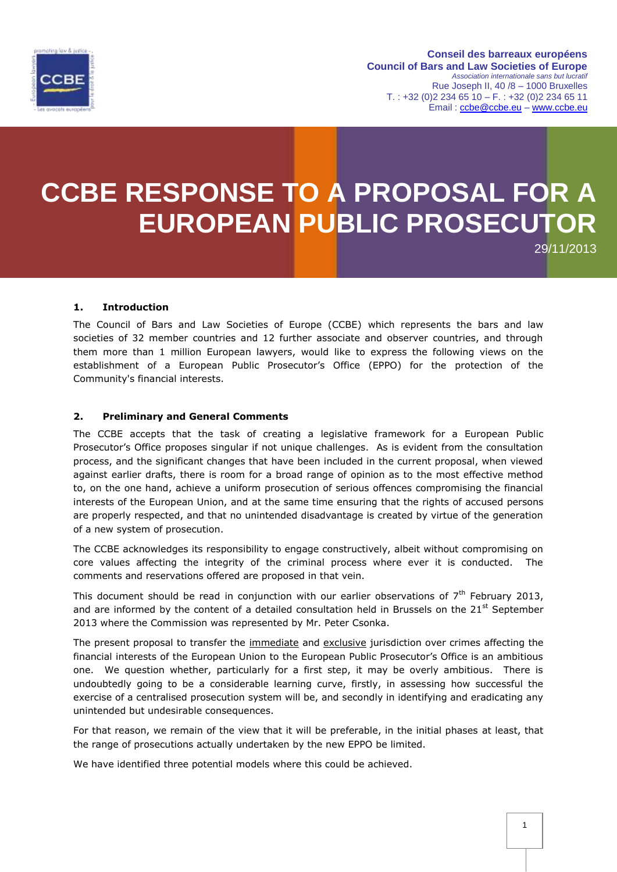

**Conseil des barreaux européens Council of Bars and Law Societies of Europe** *Association internationale sans but lucratif* Rue Joseph II, 40 /8 – 1000 Bruxelles  $T. : +32 (0)2 234 65 10 - F. : +32 (0)2 234 65 11$ Email : [ccbe@ccbe.eu](mailto:ccbe@ccbe.eu) – [www.ccbe.eu](http://www.ccbe.eu/)

# **CCBE RESPONSE TO A PROPOSAL FOR A EUROPEAN PUBLIC PROSECUTOR**

29/11/2013

## **1. Introduction**

The Council of Bars and Law Societies of Europe (CCBE) which represents the bars and law societies of 32 member countries and 12 further associate and observer countries, and through them more than 1 million European lawyers, would like to express the following views on the establishment of a European Public Prosecutor's Office (EPPO) for the protection of the Community's financial interests.

#### **2. Preliminary and General Comments**

The CCBE accepts that the task of creating a legislative framework for a European Public Prosecutor's Office proposes singular if not unique challenges. As is evident from the consultation process, and the significant changes that have been included in the current proposal, when viewed against earlier drafts, there is room for a broad range of opinion as to the most effective method to, on the one hand, achieve a uniform prosecution of serious offences compromising the financial interests of the European Union, and at the same time ensuring that the rights of accused persons are properly respected, and that no unintended disadvantage is created by virtue of the generation of a new system of prosecution.

The CCBE acknowledges its responsibility to engage constructively, albeit without compromising on core values affecting the integrity of the criminal process where ever it is conducted. The comments and reservations offered are proposed in that vein.

This document should be read in conjunction with our earlier observations of  $7<sup>th</sup>$  February 2013, and are informed by the content of a detailed consultation held in Brussels on the  $21<sup>st</sup>$  September 2013 where the Commission was represented by Mr. Peter Csonka.

The present proposal to transfer the immediate and exclusive jurisdiction over crimes affecting the financial interests of the European Union to the European Public Prosecutor's Office is an ambitious one. We question whether, particularly for a first step, it may be overly ambitious. There is undoubtedly going to be a considerable learning curve, firstly, in assessing how successful the exercise of a centralised prosecution system will be, and secondly in identifying and eradicating any unintended but undesirable consequences.

For that reason, we remain of the view that it will be preferable, in the initial phases at least, that the range of prosecutions actually undertaken by the new EPPO be limited.

We have identified three potential models where this could be achieved.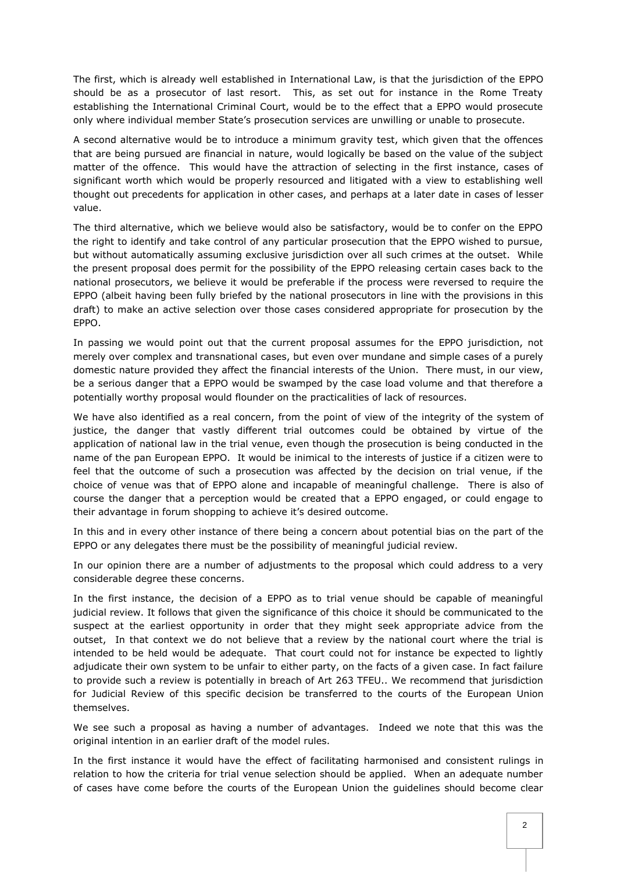The first, which is already well established in International Law, is that the jurisdiction of the EPPO should be as a prosecutor of last resort. This, as set out for instance in the Rome Treaty establishing the International Criminal Court, would be to the effect that a EPPO would prosecute only where individual member State's prosecution services are unwilling or unable to prosecute.

A second alternative would be to introduce a minimum gravity test, which given that the offences that are being pursued are financial in nature, would logically be based on the value of the subject matter of the offence. This would have the attraction of selecting in the first instance, cases of significant worth which would be properly resourced and litigated with a view to establishing well thought out precedents for application in other cases, and perhaps at a later date in cases of lesser value.

The third alternative, which we believe would also be satisfactory, would be to confer on the EPPO the right to identify and take control of any particular prosecution that the EPPO wished to pursue, but without automatically assuming exclusive jurisdiction over all such crimes at the outset. While the present proposal does permit for the possibility of the EPPO releasing certain cases back to the national prosecutors, we believe it would be preferable if the process were reversed to require the EPPO (albeit having been fully briefed by the national prosecutors in line with the provisions in this draft) to make an active selection over those cases considered appropriate for prosecution by the EPPO.

In passing we would point out that the current proposal assumes for the EPPO jurisdiction, not merely over complex and transnational cases, but even over mundane and simple cases of a purely domestic nature provided they affect the financial interests of the Union. There must, in our view, be a serious danger that a EPPO would be swamped by the case load volume and that therefore a potentially worthy proposal would flounder on the practicalities of lack of resources.

We have also identified as a real concern, from the point of view of the integrity of the system of justice, the danger that vastly different trial outcomes could be obtained by virtue of the application of national law in the trial venue, even though the prosecution is being conducted in the name of the pan European EPPO. It would be inimical to the interests of justice if a citizen were to feel that the outcome of such a prosecution was affected by the decision on trial venue, if the choice of venue was that of EPPO alone and incapable of meaningful challenge. There is also of course the danger that a perception would be created that a EPPO engaged, or could engage to their advantage in forum shopping to achieve it's desired outcome.

In this and in every other instance of there being a concern about potential bias on the part of the EPPO or any delegates there must be the possibility of meaningful judicial review.

In our opinion there are a number of adjustments to the proposal which could address to a very considerable degree these concerns.

In the first instance, the decision of a EPPO as to trial venue should be capable of meaningful judicial review. It follows that given the significance of this choice it should be communicated to the suspect at the earliest opportunity in order that they might seek appropriate advice from the outset, In that context we do not believe that a review by the national court where the trial is intended to be held would be adequate. That court could not for instance be expected to lightly adjudicate their own system to be unfair to either party, on the facts of a given case. In fact failure to provide such a review is potentially in breach of Art 263 TFEU.. We recommend that jurisdiction for Judicial Review of this specific decision be transferred to the courts of the European Union themselves.

We see such a proposal as having a number of advantages. Indeed we note that this was the original intention in an earlier draft of the model rules.

In the first instance it would have the effect of facilitating harmonised and consistent rulings in relation to how the criteria for trial venue selection should be applied. When an adequate number of cases have come before the courts of the European Union the guidelines should become clear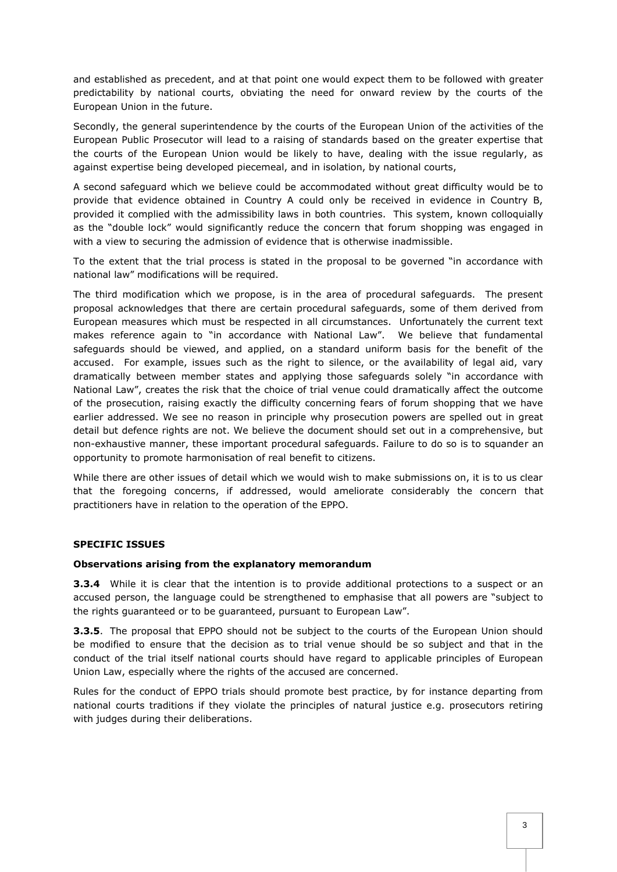and established as precedent, and at that point one would expect them to be followed with greater predictability by national courts, obviating the need for onward review by the courts of the European Union in the future.

Secondly, the general superintendence by the courts of the European Union of the activities of the European Public Prosecutor will lead to a raising of standards based on the greater expertise that the courts of the European Union would be likely to have, dealing with the issue regularly, as against expertise being developed piecemeal, and in isolation, by national courts,

A second safeguard which we believe could be accommodated without great difficulty would be to provide that evidence obtained in Country A could only be received in evidence in Country B, provided it complied with the admissibility laws in both countries. This system, known colloquially as the "double lock" would significantly reduce the concern that forum shopping was engaged in with a view to securing the admission of evidence that is otherwise inadmissible.

To the extent that the trial process is stated in the proposal to be governed "in accordance with national law" modifications will be required.

The third modification which we propose, is in the area of procedural safeguards. The present proposal acknowledges that there are certain procedural safeguards, some of them derived from European measures which must be respected in all circumstances. Unfortunately the current text makes reference again to "in accordance with National Law". We believe that fundamental safeguards should be viewed, and applied, on a standard uniform basis for the benefit of the accused. For example, issues such as the right to silence, or the availability of legal aid, vary dramatically between member states and applying those safeguards solely "in accordance with National Law", creates the risk that the choice of trial venue could dramatically affect the outcome of the prosecution, raising exactly the difficulty concerning fears of forum shopping that we have earlier addressed. We see no reason in principle why prosecution powers are spelled out in great detail but defence rights are not. We believe the document should set out in a comprehensive, but non-exhaustive manner, these important procedural safeguards. Failure to do so is to squander an opportunity to promote harmonisation of real benefit to citizens.

While there are other issues of detail which we would wish to make submissions on, it is to us clear that the foregoing concerns, if addressed, would ameliorate considerably the concern that practitioners have in relation to the operation of the EPPO.

#### **SPECIFIC ISSUES**

#### **Observations arising from the explanatory memorandum**

**3.3.4** While it is clear that the intention is to provide additional protections to a suspect or an accused person, the language could be strengthened to emphasise that all powers are "subject to the rights guaranteed or to be guaranteed, pursuant to European Law".

**3.3.5**. The proposal that EPPO should not be subject to the courts of the European Union should be modified to ensure that the decision as to trial venue should be so subject and that in the conduct of the trial itself national courts should have regard to applicable principles of European Union Law, especially where the rights of the accused are concerned.

Rules for the conduct of EPPO trials should promote best practice, by for instance departing from national courts traditions if they violate the principles of natural justice e.g. prosecutors retiring with judges during their deliberations.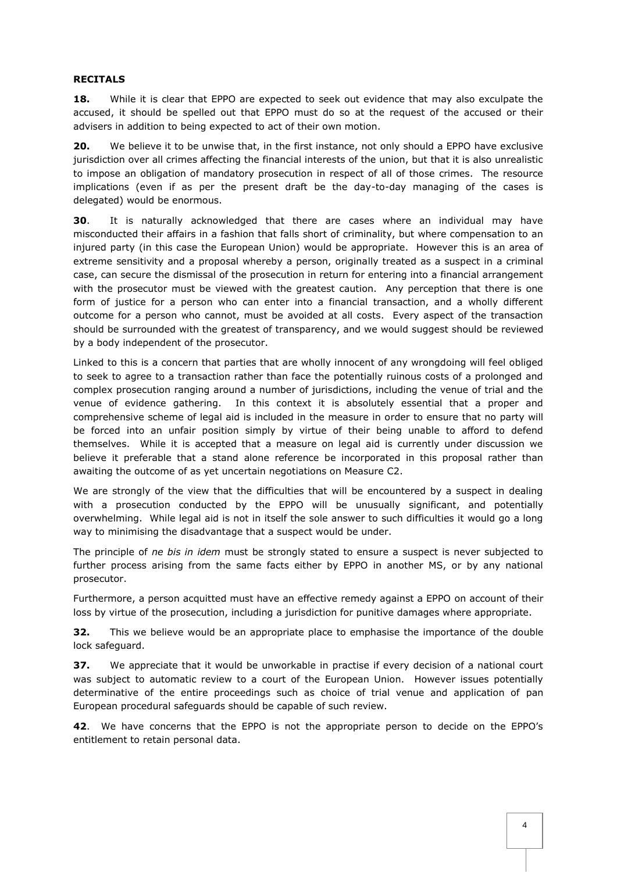### **RECITALS**

**18.** While it is clear that EPPO are expected to seek out evidence that may also exculpate the accused, it should be spelled out that EPPO must do so at the request of the accused or their advisers in addition to being expected to act of their own motion.

**20.** We believe it to be unwise that, in the first instance, not only should a EPPO have exclusive jurisdiction over all crimes affecting the financial interests of the union, but that it is also unrealistic to impose an obligation of mandatory prosecution in respect of all of those crimes. The resource implications (even if as per the present draft be the day-to-day managing of the cases is delegated) would be enormous.

**30**. It is naturally acknowledged that there are cases where an individual may have misconducted their affairs in a fashion that falls short of criminality, but where compensation to an injured party (in this case the European Union) would be appropriate. However this is an area of extreme sensitivity and a proposal whereby a person, originally treated as a suspect in a criminal case, can secure the dismissal of the prosecution in return for entering into a financial arrangement with the prosecutor must be viewed with the greatest caution. Any perception that there is one form of justice for a person who can enter into a financial transaction, and a wholly different outcome for a person who cannot, must be avoided at all costs. Every aspect of the transaction should be surrounded with the greatest of transparency, and we would suggest should be reviewed by a body independent of the prosecutor.

Linked to this is a concern that parties that are wholly innocent of any wrongdoing will feel obliged to seek to agree to a transaction rather than face the potentially ruinous costs of a prolonged and complex prosecution ranging around a number of jurisdictions, including the venue of trial and the venue of evidence gathering. In this context it is absolutely essential that a proper and comprehensive scheme of legal aid is included in the measure in order to ensure that no party will be forced into an unfair position simply by virtue of their being unable to afford to defend themselves. While it is accepted that a measure on legal aid is currently under discussion we believe it preferable that a stand alone reference be incorporated in this proposal rather than awaiting the outcome of as yet uncertain negotiations on Measure C2.

We are strongly of the view that the difficulties that will be encountered by a suspect in dealing with a prosecution conducted by the EPPO will be unusually significant, and potentially overwhelming. While legal aid is not in itself the sole answer to such difficulties it would go a long way to minimising the disadvantage that a suspect would be under.

The principle of *ne bis in idem* must be strongly stated to ensure a suspect is never subjected to further process arising from the same facts either by EPPO in another MS, or by any national prosecutor.

Furthermore, a person acquitted must have an effective remedy against a EPPO on account of their loss by virtue of the prosecution, including a jurisdiction for punitive damages where appropriate.

**32.** This we believe would be an appropriate place to emphasise the importance of the double lock safeguard.

**37.** We appreciate that it would be unworkable in practise if every decision of a national court was subject to automatic review to a court of the European Union. However issues potentially determinative of the entire proceedings such as choice of trial venue and application of pan European procedural safeguards should be capable of such review.

**42**. We have concerns that the EPPO is not the appropriate person to decide on the EPPO's entitlement to retain personal data.